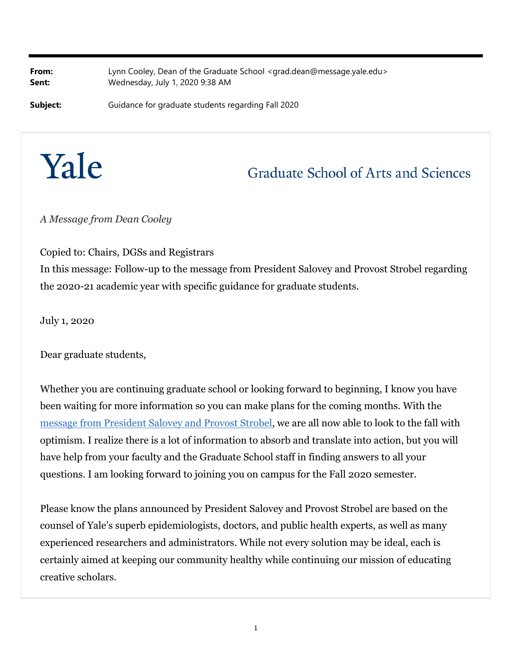**From:** Lynn Cooley, Dean of the Graduate School [<grad.dean@message.yale.edu>](mailto:grad.dean@message.yale.edu) **Sent:** Wednesday, July 1, 2020 9:38 AM

**Subject:** Guidance for graduate students regarding Fall 2020



## **Graduate School of Arts and Sciences**

*A Message from Dean Cooley*

Copied to: Chairs, DGSs and Registrars

In this message: Follow-up to the message from President Salovey and Provost Strobel regarding the 2020-21 academic year with specific guidance for graduate students.

July 1, 2020

Dear graduate students,

Whether you are continuing graduate school or looking forward to beginning, I know you have been waiting for more information so you can make plans for the coming months. With the [message from President Salovey and Provost Strobel,](http://click.message.yale.edu/?qs=2823f7ad02c51dd6fc90b07200e9724e39ed132bcce6a0a11756f34a5f8a5fddabd3c5f1a138cac32d19c86affda75acf81fcf30a76bc1cf) we are all now able to look to the fall with optimism. I realize there is a lot of information to absorb and translate into action, but you will have help from your faculty and the Graduate School staff in finding answers to all your questions. I am looking forward to joining you on campus for the Fall 2020 semester.

Please know the plans announced by President Salovey and Provost Strobel are based on the counsel of Yale's superb epidemiologists, doctors, and public health experts, as well as many experienced researchers and administrators. While not every solution may be ideal, each is certainly aimed at keeping our community healthy while continuing our mission of educating creative scholars.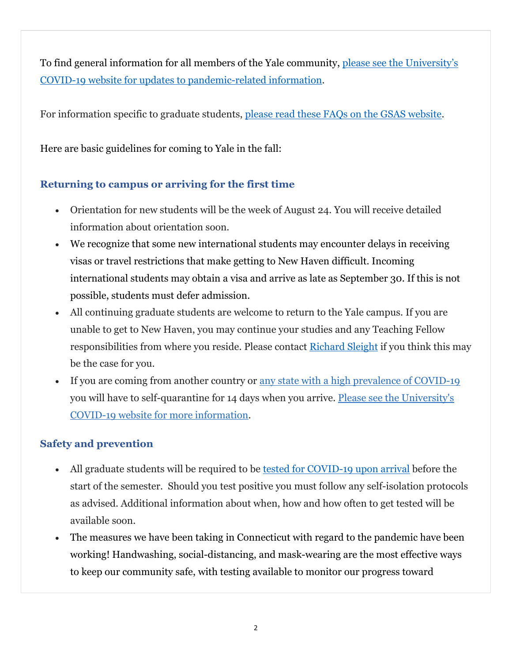To find general information for all members of the Yale community, [please see the University's](http://click.message.yale.edu/?qs=2823f7ad02c51dd6e8ea68d24ea18cb85787f8609a5f05bdb3d6ff6462e46e3e330386eafe66eeb00dfb9e9e546b4b9e26e27e6822fd9d91)  [COVID-19 website for updates to pandemic-related information.](http://click.message.yale.edu/?qs=2823f7ad02c51dd6e8ea68d24ea18cb85787f8609a5f05bdb3d6ff6462e46e3e330386eafe66eeb00dfb9e9e546b4b9e26e27e6822fd9d91)

For information specific to graduate students, [please read these FAQs on the GSAS website.](https://gsas.yale.edu/2020-2021-academic-year-faqs-graduate-students)

Here are basic guidelines for coming to Yale in the fall:

## **Returning to campus or arriving for the first time**

- Orientation for new students will be the week of August 24. You will receive detailed information about orientation soon.
- We recognize that some new international students may encounter delays in receiving visas or travel restrictions that make getting to New Haven difficult. Incoming international students may obtain a visa and arrive as late as September 30. If this is not possible, students must defer admission.
- All continuing graduate students are welcome to return to the Yale campus. If you are unable to get to New Haven, you may continue your studies and any Teaching Fellow responsibilities from where you reside. Please contact Richard Sleight if you think this may be the case for you.
- If you are coming from another country or <u>any state with a high prevalence of COVID-19</u> you will have to self-quarantine for 14 days when you arrive. [Please see the University](http://click.message.yale.edu/?qs=2823f7ad02c51dd6146642b94ad294583c4db0f9218f973d0f218f2344fe6f981cb5ae4d60f9fb96deb0d656991ca97da7c200f267b393b1)'[s](http://click.message.yale.edu/?qs=2823f7ad02c51dd6146642b94ad294583c4db0f9218f973d0f218f2344fe6f981cb5ae4d60f9fb96deb0d656991ca97da7c200f267b393b1) [COVID-19 website for more information](http://click.message.yale.edu/?qs=2823f7ad02c51dd6146642b94ad294583c4db0f9218f973d0f218f2344fe6f981cb5ae4d60f9fb96deb0d656991ca97da7c200f267b393b1).

## **Safety and prevention**

- All graduate students will be required to be [tested for COVID-19 upon arrival](http://click.message.yale.edu/?qs=2823f7ad02c51dd660dac01905378ebaa73e8b2126527cd58b34feb82b0728c344a7ea014754aab5dfe68196901b193cf74283a82de7f1d9) before the start of the semester. Should you test positive you must follow any self-isolation protocols as advised. Additional information about when, how and how often to get tested will be available soon.
- The measures we have been taking in Connecticut with regard to the pandemic have been working! Handwashing, social-distancing, and mask-wearing are the most effective ways to keep our community safe, with testing available to monitor our progress toward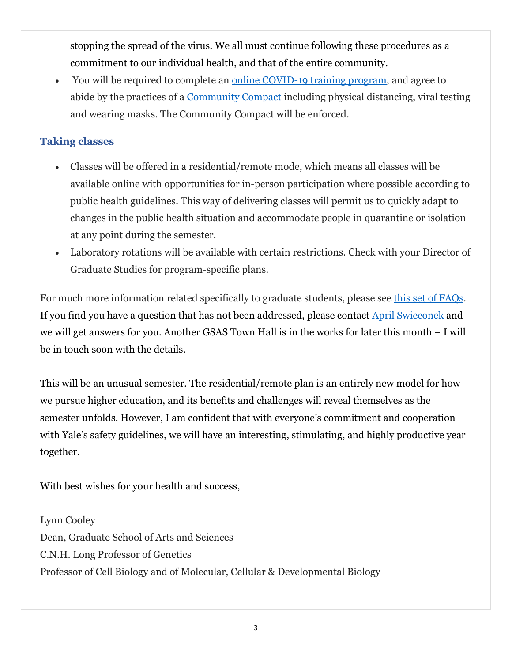stopping the spread of the virus. We all must continue following these procedures as a commitment to our individual health, and that of the entire community.

 You will be required to complete an [online COVID-19 training program,](http://click.message.yale.edu/?qs=2823f7ad02c51dd69fc69374c1e551a35d01038d79039696940b68276cb48f44bab763187b3ab343e53c66d97aa7b0e92350926611530d22) and agree to abide by the practices of a [Community Compact](http://click.message.yale.edu/?qs=2823f7ad02c51dd69612084f38eb6bc9a7ec669aa05536d126dfb3fc658ee502a3d79c5faa5af74e7562fb2308922f2df3eded14f6f05860) including physical distancing, viral testing and wearing masks. The Community Compact will be enforced.

## **Taking classes**

- Classes will be offered in a residential/remote mode, which means all classes will be available online with opportunities for in-person participation where possible according to public health guidelines. This way of delivering classes will permit us to quickly adapt to changes in the public health situation and accommodate people in quarantine or isolation at any point during the semester.
- Laboratory rotations will be available with certain restrictions. Check with your Director of Graduate Studies for program-specific plans.

For much more information related specifically to graduate students, please see [this set of FAQs](https://gsas.yale.edu/2020-2021-academic-year-faqs-graduate-students). If you find you have a question that has not been addressed, please contact April Swieconek and we will get answers for you. Another GSAS Town Hall is in the works for later this month – I will be in touch soon with the details.

This will be an unusual semester. The residential/remote plan is an entirely new model for how we pursue higher education, and its benefits and challenges will reveal themselves as the semester unfolds. However, I am confident that with everyone's commitment and cooperation with Yale's safety guidelines, we will have an interesting, stimulating, and highly productive year together.

With best wishes for your health and success,

Lynn Cooley Dean, Graduate School of Arts and Sciences C.N.H. Long Professor of Genetics Professor of Cell Biology and of Molecular, Cellular & Developmental Biology